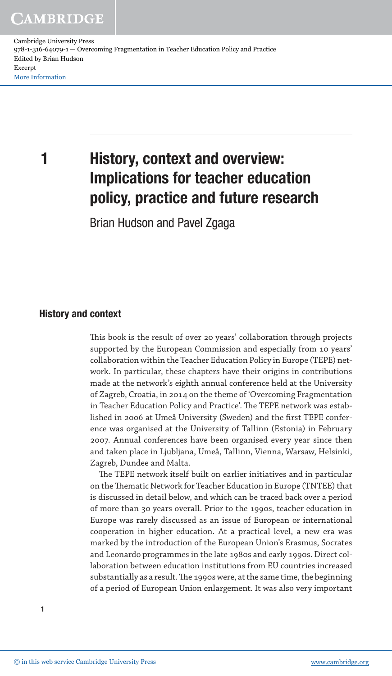Cambridge University Press 978-1-316-64079-1 — Overcoming Fragmentation in Teacher Education Policy and Practice Edited by Brian Hudson Excerpt [More Information](www.cambridge.org/9781316640791)

# 1 History, context and overview: Implications for teacher education policy, practice and future research

Brian Hudson and Pavel Zgaga

## History and context

his book is the result of over 20 years' collaboration through projects supported by the European Commission and especially from 10 years' collaboration within the Teacher Education Policy in Europe (TEPE) network. In particular, these chapters have their origins in contributions made at the network's eighth annual conference held at the University of Zagreb, Croatia, in 2014 on the theme of 'Overcoming Fragmentation in Teacher Education Policy and Practice'. The TEPE network was established in 2006 at Umeå University (Sweden) and the first TEPE conference was organised at the University of Tallinn (Estonia) in February 2007. Annual conferences have been organised every year since then and taken place in Ljubljana, Umeå, Tallinn, Vienna, Warsaw, Helsinki, Zagreb, Dundee and Malta.

he TEPE network itself built on earlier initiatives and in particular on the Thematic Network for Teacher Education in Europe (TNTEE) that is discussed in detail below, and which can be traced back over a period of more than 30 years overall. Prior to the 1990s, teacher education in Europe was rarely discussed as an issue of European or international cooperation in higher education. At a practical level, a new era was marked by the introduction of the European Union's Erasmus, Socrates and Leonardo programmes in the late 1980s and early 1990s. Direct collaboration between education institutions from EU countries increased substantially as a result. The 1990s were, at the same time, the beginning of a period of European Union enlargement. It was also very important

1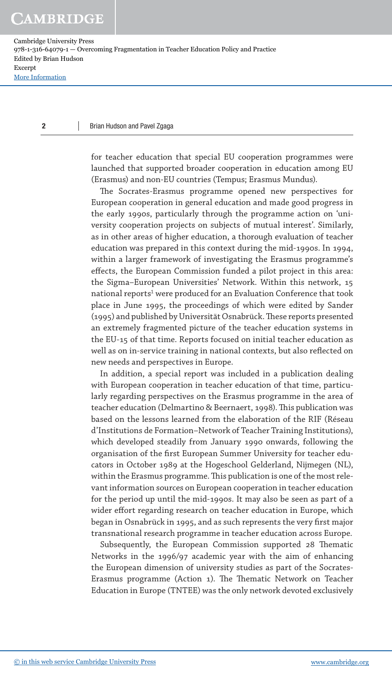Cambridge University Press 978-1-316-64079-1 — Overcoming Fragmentation in Teacher Education Policy and Practice Edited by Brian Hudson Excerpt [More Information](www.cambridge.org/9781316640791)

#### 2 Brian Hudson and Pavel Zgaga

for teacher education that special EU cooperation programmes were launched that supported broader cooperation in education among EU (Erasmus) and non-EU countries (Tempus; Erasmus Mundus).

he Socrates-Erasmus programme opened new perspectives for European cooperation in general education and made good progress in the early 1990s, particularly through the programme action on 'university cooperation projects on subjects of mutual interest'. Similarly, as in other areas of higher education, a thorough evaluation of teacher education was prepared in this context during the mid-1990s. In 1994, within a larger framework of investigating the Erasmus programme's efects, the European Commission funded a pilot project in this area: the Sigma–European Universities' Network. Within this network, 15 national reports<sup>1</sup> were produced for an Evaluation Conference that took place in June 1995, the proceedings of which were edited by Sander (1995) and published by Universität Osnabrück. These reports presented an extremely fragmented picture of the teacher education systems in the EU-15 of that time. Reports focused on initial teacher education as well as on in-service training in national contexts, but also reflected on new needs and perspectives in Europe.

In addition, a special report was included in a publication dealing with European cooperation in teacher education of that time, particularly regarding perspectives on the Erasmus programme in the area of teacher education (Delmartino & Beernaert, 1998). This publication was based on the lessons learned from the elaboration of the RIF (Réseau d'Institutions de Formation–Network of Teacher Training Institutions), which developed steadily from January 1990 onwards, following the organisation of the first European Summer University for teacher educators in October 1989 at the Hogeschool Gelderland, Nijmegen (NL), within the Erasmus programme. This publication is one of the most relevant information sources on European cooperation in teacher education for the period up until the mid-1990s. It may also be seen as part of a wider efort regarding research on teacher education in Europe, which began in Osnabrück in 1995, and as such represents the very first major transnational research programme in teacher education across Europe.

Subsequently, the European Commission supported 28 Thematic Networks in the 1996/97 academic year with the aim of enhancing the European dimension of university studies as part of the Socrates-Erasmus programme (Action 1). The Thematic Network on Teacher Education in Europe (TNTEE) was the only network devoted exclusively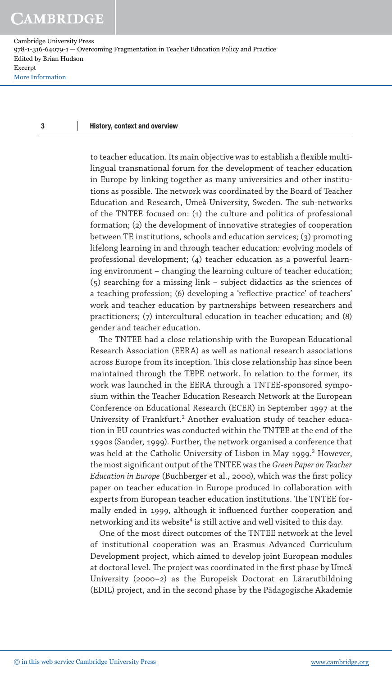### 3 History, context and overview

to teacher education. Its main objective was to establish a flexible multilingual transnational forum for the development of teacher education in Europe by linking together as many universities and other institutions as possible. The network was coordinated by the Board of Teacher Education and Research, Umeå University, Sweden. The sub-networks of the TNTEE focused on: (1) the culture and politics of professional formation; (2) the development of innovative strategies of cooperation between TE institutions, schools and education services; (3) promoting lifelong learning in and through teacher education: evolving models of professional development; (4) teacher education as a powerful learning environment – changing the learning culture of teacher education; (5) searching for a missing link – subject didactics as the sciences of a teaching profession; (6) developing a 'reflective practice' of teachers' work and teacher education by partnerships between researchers and practitioners; (7) intercultural education in teacher education; and (8) gender and teacher education.

he TNTEE had a close relationship with the European Educational Research Association (EERA) as well as national research associations across Europe from its inception. This close relationship has since been maintained through the TEPE network. In relation to the former, its work was launched in the EERA through a TNTEE-sponsored symposium within the Teacher Education Research Network at the European Conference on Educational Research (ECER) in September 1997 at the University of Frankfurt.<sup>2</sup> Another evaluation study of teacher education in EU countries was conducted within the TNTEE at the end of the 1990s (Sander, 1999). Further, the network organised a conference that was held at the Catholic University of Lisbon in May 1999. 3 However, the most signiicant output of the TNTEE was the *Green Paper on Teacher Education in Europe* (Buchberger et al., 2000), which was the first policy paper on teacher education in Europe produced in collaboration with experts from European teacher education institutions. The TNTEE formally ended in 1999, although it influenced further cooperation and networking and its website $^4$  is still active and well visited to this day.

One of the most direct outcomes of the TNTEE network at the level of institutional cooperation was an Erasmus Advanced Curriculum Development project, which aimed to develop joint European modules at doctoral level. The project was coordinated in the first phase by Umeå University (2000–2) as the Europeisk Doctorat en Lärarutbildning (EDIL) project, and in the second phase by the Pädagogische Akademie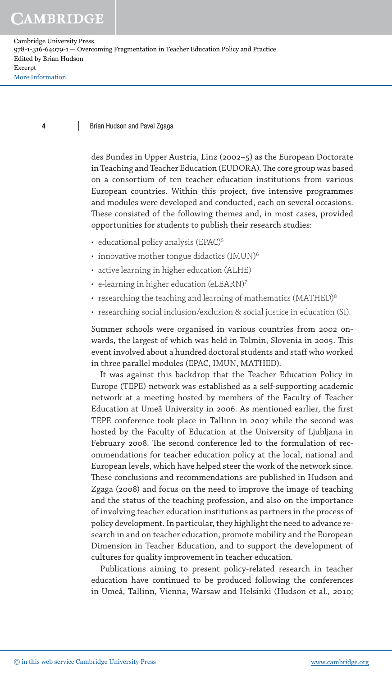### 4 Brian Hudson and Pavel Zgaga

des Bundes in Upper Austria, Linz (2002–5) as the European Doctorate in Teaching and Teacher Education (EUDORA). The core group was based on a consortium of ten teacher education institutions from various European countries. Within this project, five intensive programmes and modules were developed and conducted, each on several occasions. hese consisted of the following themes and, in most cases, provided opportunities for students to publish their research studies:

- educational policy analysis (EPAC)<sup>5</sup>
- innovative mother tongue didactics (IMUN)<sup>6</sup>
- active learning in higher education (ALHE)
- e-learning in higher education (eLEARN)7
- researching the teaching and learning of mathematics (MATHED) $8$
- researching social inclusion/exclusion & social justice in education (SI).

Summer schools were organised in various countries from 2002 onwards, the largest of which was held in Tolmin, Slovenia in 2005. This event involved about a hundred doctoral students and staff who worked in three parallel modules (EPAC, IMUN, MATHED).

It was against this backdrop that the Teacher Education Policy in Europe (TEPE) network was established as a self-supporting academic network at a meeting hosted by members of the Faculty of Teacher Education at Umeå University in 2006. As mentioned earlier, the first TEPE conference took place in Tallinn in 2007 while the second was hosted by the Faculty of Education at the University of Ljubljana in February 2008. The second conference led to the formulation of recommendations for teacher education policy at the local, national and European levels, which have helped steer the work of the network since. hese conclusions and recommendations are published in Hudson and Zgaga (2008) and focus on the need to improve the image of teaching and the status of the teaching profession, and also on the importance of involving teacher education institutions as partners in the process of policy development. In particular, they highlight the need to advance research in and on teacher education, promote mobility and the European Dimension in Teacher Education, and to support the development of cultures for quality improvement in teacher education.

Publications aiming to present policy-related research in teacher education have continued to be produced following the conferences in Umeå, Tallinn, Vienna, Warsaw and Helsinki (Hudson et al., 2010;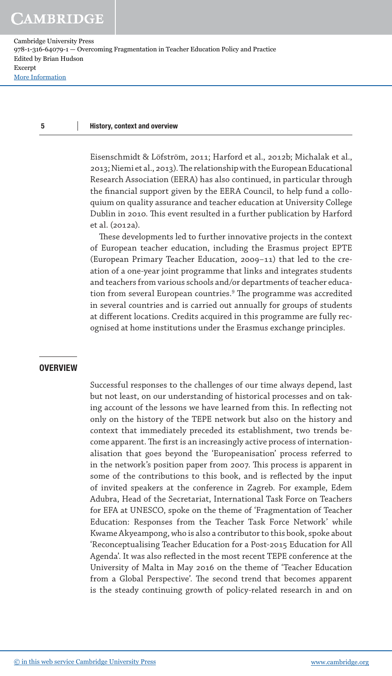### 5 History, context and overview

Eisenschmidt & Löfström, 2011; Harford et al., 2012b; Michalak et al., 2013; Niemi et al., 2013). he relationship with the European Educational Research Association (EERA) has also continued, in particular through the financial support given by the EERA Council, to help fund a colloquium on quality assurance and teacher education at University College Dublin in 2010. This event resulted in a further publication by Harford et al. (2012a).

hese developments led to further innovative projects in the context of European teacher education, including the Erasmus project EPTE (European Primary Teacher Education, 2009–11) that led to the creation of a one-year joint programme that links and integrates students and teachers from various schools and/or departments of teacher education from several European countries.<sup>9</sup> The programme was accredited in several countries and is carried out annually for groups of students at diferent locations. Credits acquired in this programme are fully recognised at home institutions under the Erasmus exchange principles.

### **OVERVIEW**

Successful responses to the challenges of our time always depend, last but not least, on our understanding of historical processes and on taking account of the lessons we have learned from this. In reflecting not only on the history of the TEPE network but also on the history and context that immediately preceded its establishment, two trends become apparent. The first is an increasingly active process of internationalisation that goes beyond the 'Europeanisation' process referred to in the network's position paper from 2007. This process is apparent in some of the contributions to this book, and is reflected by the input of invited speakers at the conference in Zagreb. For example, Edem Adubra, Head of the Secretariat, International Task Force on Teachers for EFA at UNESCO, spoke on the theme of 'Fragmentation of Teacher Education: Responses from the Teacher Task Force Network' while Kwame Akyeampong, who is also a contributor to this book, spoke about 'Reconceptualising Teacher Education for a Post-2015 Education for All Agenda'. It was also reflected in the most recent TEPE conference at the University of Malta in May 2016 on the theme of 'Teacher Education from a Global Perspective'. The second trend that becomes apparent is the steady continuing growth of policy-related research in and on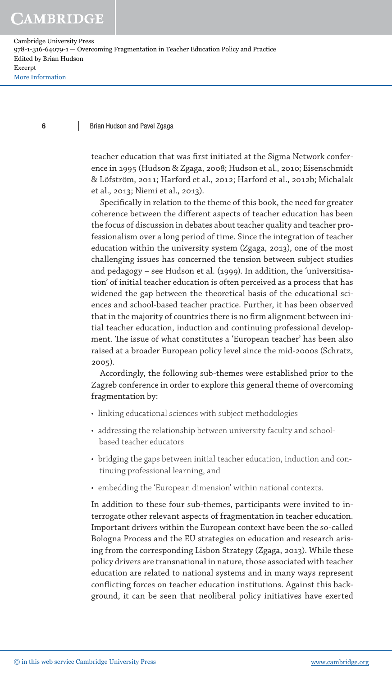6

Cambridge University Press 978-1-316-64079-1 — Overcoming Fragmentation in Teacher Education Policy and Practice Edited by Brian Hudson Excerpt [More Information](www.cambridge.org/9781316640791)

### Brian Hudson and Pavel Zgaga

teacher education that was first initiated at the Sigma Network conference in 1995 (Hudson & Zgaga, 2008; Hudson et al., 2010; Eisenschmidt & Löfström, 2011; Harford et al., 2012; Harford et al., 2012b; Michalak et al., 2013; Niemi et al., 2013).

Specifically in relation to the theme of this book, the need for greater coherence between the diferent aspects of teacher education has been the focus of discussion in debates about teacher quality and teacher professionalism over a long period of time. Since the integration of teacher education within the university system (Zgaga, 2013), one of the most challenging issues has concerned the tension between subject studies and pedagogy – see Hudson et al. (1999). In addition, the 'universitisation' of initial teacher education is often perceived as a process that has widened the gap between the theoretical basis of the educational sciences and school-based teacher practice. Further, it has been observed that in the majority of countries there is no firm alignment between initial teacher education, induction and continuing professional development. The issue of what constitutes a 'European teacher' has been also raised at a broader European policy level since the mid-2000s (Schratz, 2005).

Accordingly, the following sub-themes were established prior to the Zagreb conference in order to explore this general theme of overcoming fragmentation by:

- linking educational sciences with subject methodologies
- addressing the relationship between university faculty and schoolbased teacher educators
- bridging the gaps between initial teacher education, induction and continuing professional learning, and
- embedding the 'European dimension' within national contexts.

In addition to these four sub-themes, participants were invited to interrogate other relevant aspects of fragmentation in teacher education. Important drivers within the European context have been the so-called Bologna Process and the EU strategies on education and research arising from the corresponding Lisbon Strategy (Zgaga, 2013). While these policy drivers are transnational in nature, those associated with teacher education are related to national systems and in many ways represent conflicting forces on teacher education institutions. Against this background, it can be seen that neoliberal policy initiatives have exerted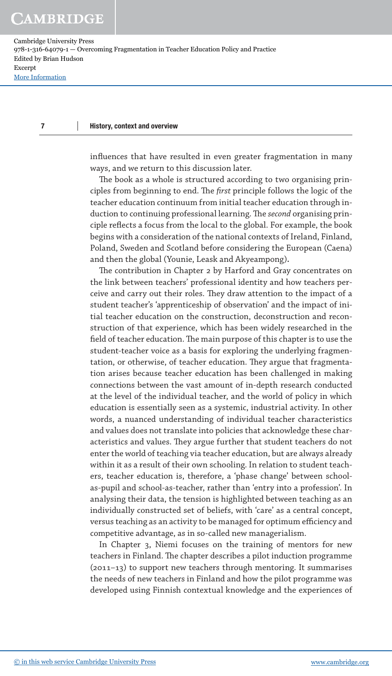### 7 History, context and overview

influences that have resulted in even greater fragmentation in many ways, and we return to this discussion later.

he book as a whole is structured according to two organising principles from beginning to end. The *first* principle follows the logic of the teacher education continuum from initial teacher education through induction to continuing professional learning. The *second* organising principle reflects a focus from the local to the global. For example, the book begins with a consideration of the national contexts of Ireland, Finland, Poland, Sweden and Scotland before considering the European (Caena) and then the global (Younie, Leask and Akyeampong).

he contribution in Chapter 2 by Harford and Gray concentrates on the link between teachers' professional identity and how teachers perceive and carry out their roles. They draw attention to the impact of a student teacher's 'apprenticeship of observation' and the impact of initial teacher education on the construction, deconstruction and reconstruction of that experience, which has been widely researched in the field of teacher education. The main purpose of this chapter is to use the student-teacher voice as a basis for exploring the underlying fragmentation, or otherwise, of teacher education. They argue that fragmentation arises because teacher education has been challenged in making connections between the vast amount of in-depth research conducted at the level of the individual teacher, and the world of policy in which education is essentially seen as a systemic, industrial activity. In other words, a nuanced understanding of individual teacher characteristics and values does not translate into policies that acknowledge these characteristics and values. They argue further that student teachers do not enter the world of teaching via teacher education, but are always already within it as a result of their own schooling. In relation to student teachers, teacher education is, therefore, a 'phase change' between schoolas-pupil and school-as-teacher, rather than 'entry into a profession'. In analysing their data, the tension is highlighted between teaching as an individually constructed set of beliefs, with 'care' as a central concept, versus teaching as an activity to be managed for optimum efficiency and competitive advantage, as in so-called new managerialism.

In Chapter 3, Niemi focuses on the training of mentors for new teachers in Finland. The chapter describes a pilot induction programme (2011–13) to support new teachers through mentoring. It summarises the needs of new teachers in Finland and how the pilot programme was developed using Finnish contextual knowledge and the experiences of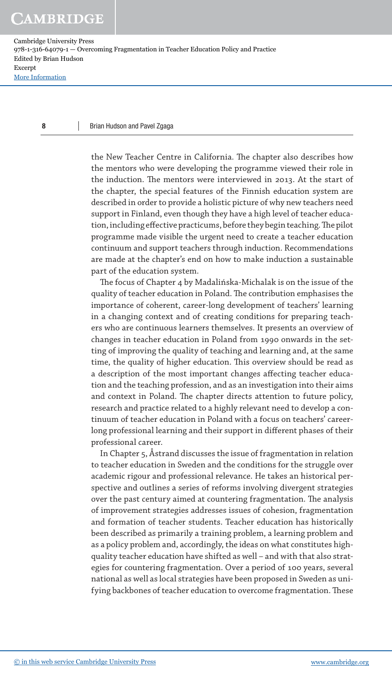### 8 Brian Hudson and Pavel Zgaga

the New Teacher Centre in California. The chapter also describes how the mentors who were developing the programme viewed their role in the induction. The mentors were interviewed in 2013. At the start of the chapter, the special features of the Finnish education system are described in order to provide a holistic picture of why new teachers need support in Finland, even though they have a high level of teacher education, including effective practicums, before they begin teaching. The pilot programme made visible the urgent need to create a teacher education continuum and support teachers through induction. Recommendations are made at the chapter's end on how to make induction a sustainable part of the education system.

The focus of Chapter 4 by Madalińska-Michalak is on the issue of the quality of teacher education in Poland. The contribution emphasises the importance of coherent, career-long development of teachers' learning in a changing context and of creating conditions for preparing teachers who are continuous learners themselves. It presents an overview of changes in teacher education in Poland from 1990 onwards in the setting of improving the quality of teaching and learning and, at the same time, the quality of higher education. This overview should be read as a description of the most important changes afecting teacher education and the teaching profession, and as an investigation into their aims and context in Poland. The chapter directs attention to future policy, research and practice related to a highly relevant need to develop a continuum of teacher education in Poland with a focus on teachers' careerlong professional learning and their support in diferent phases of their professional career.

In Chapter 5, Åstrand discusses the issue of fragmentation in relation to teacher education in Sweden and the conditions for the struggle over academic rigour and professional relevance. He takes an historical perspective and outlines a series of reforms involving divergent strategies over the past century aimed at countering fragmentation. The analysis of improvement strategies addresses issues of cohesion, fragmentation and formation of teacher students. Teacher education has historically been described as primarily a training problem, a learning problem and as a policy problem and, accordingly, the ideas on what constitutes highquality teacher education have shifted as well – and with that also strategies for countering fragmentation. Over a period of 100 years, several national as well as local strategies have been proposed in Sweden as unifying backbones of teacher education to overcome fragmentation. These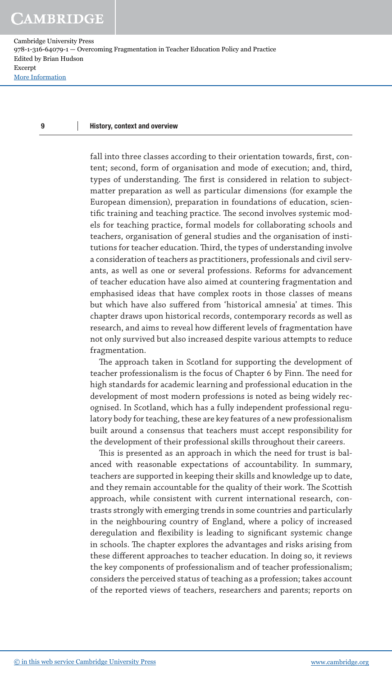### 9 History, context and overview

fall into three classes according to their orientation towards, first, content; second, form of organisation and mode of execution; and, third, types of understanding. The first is considered in relation to subjectmatter preparation as well as particular dimensions (for example the European dimension), preparation in foundations of education, scientific training and teaching practice. The second involves systemic models for teaching practice, formal models for collaborating schools and teachers, organisation of general studies and the organisation of institutions for teacher education. Third, the types of understanding involve a consideration of teachers as practitioners, professionals and civil servants, as well as one or several professions. Reforms for advancement of teacher education have also aimed at countering fragmentation and emphasised ideas that have complex roots in those classes of means but which have also suffered from 'historical amnesia' at times. This chapter draws upon historical records, contemporary records as well as research, and aims to reveal how diferent levels of fragmentation have not only survived but also increased despite various attempts to reduce fragmentation.

he approach taken in Scotland for supporting the development of teacher professionalism is the focus of Chapter 6 by Finn. The need for high standards for academic learning and professional education in the development of most modern professions is noted as being widely recognised. In Scotland, which has a fully independent professional regulatory body for teaching, these are key features of a new professionalism built around a consensus that teachers must accept responsibility for the development of their professional skills throughout their careers.

his is presented as an approach in which the need for trust is balanced with reasonable expectations of accountability. In summary, teachers are supported in keeping their skills and knowledge up to date, and they remain accountable for the quality of their work. The Scottish approach, while consistent with current international research, contrasts strongly with emerging trends in some countries and particularly in the neighbouring country of England, where a policy of increased deregulation and flexibility is leading to significant systemic change in schools. The chapter explores the advantages and risks arising from these diferent approaches to teacher education. In doing so, it reviews the key components of professionalism and of teacher professionalism; considers the perceived status of teaching as a profession; takes account of the reported views of teachers, researchers and parents; reports on